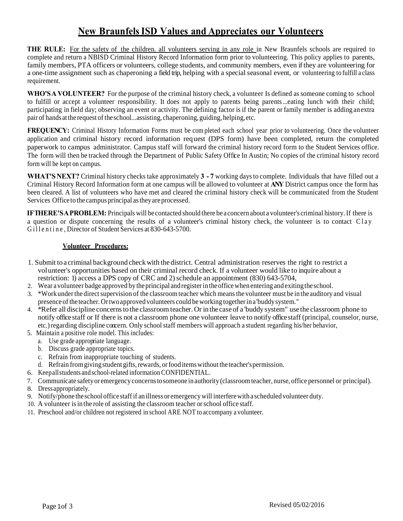## **New BraunfelsISD Values and Appreciates our Volunteers**

**THE RULE:** For the safety of the children. all volunteers serving in any role in New Braunfels schools are required to complete and return a NBISD Criminal History Record Information form prior to volunteering. This policy applies to parents, family members, PTA officers or volunteers, college students, and community members, even if they are volunteering for a one-time assignment such as chaperoning a field trip, helping with a special seasonal event, or volunteering to fulfill a class requirement.

**WHO'SA VOLUNTEER?** For the purpose of the criminal history check, a volunteer Is defined as someone coming to school to fulfill or accept a volunteer responsibility. It does not apply to parents being parents...eating lunch with their child; participating in field day; observing an event or activity. The defining factor is if the parent or family member is adding anextra pair of hands at the request of the school...assisting, chaperoning, guiding, helping, etc.

**FREQUENCY:** Criminal History Information Forms must be completed each school year prior to volunteering. Once the volunteer application and criminal history record information request (DPS form) have been completed, return the completed paperwork to campus administrator. Campus staff will forward the criminal history record form to the Student Services office. The form will then be tracked through the Department of Public Safety Office In Austin; No copies of the criminal history record form will be kept on campus.

**WHAT'SNEXT?** Criminal history checks take approximately **3 - 7** working daysto complete. Individuals that have filled out a Criminal History Record Information form at one campus will be allowed to volunteer at **ANY** District campus once the form has been cleared. A list of volunteers who have met and cleared the criminal history check will be communicated from the Student Services Office to the campus principal as they are processed.

**IFTHERE'SAPROBLEM:** Principals will be contacted should there be a concern about a volunteer's criminal history.If there is a question or dispute concerning the results of a volunteer's criminal history check, the volunteer is to contact Clay Gillentine, Director of Student Services at 830-643-5700.

#### **Volunteer Procedures:**

- 1. Submit to a criminal background checkwith the district. Central administration reserves the right to restrict a volunteer's opportunities based on their criminal record check. If a volunteer would like to inquire about a restriction: 1) access a DPS copy of CRC and 2) schedule an appointment (830) 643-5704,
- 2. Wear avolunteer badge approved by theprincipal andregisterintheofficewhen entering and exitingthe school.
- 3. \*Workunderthe directsupervision of the classroom teacher which meansthe volunteer must be in the auditory and visual presence ofthe teacher. Ortwoapproved volunteers could beworking togetherina'buddysystem."
- 4. \*Refer all discipline concernsto the classroom teacher. Or in the caseof a 'buddy system" use the classroom phone to notify office staff or If there is not a classroom phone one volunteer leave to notify office staff (principal, counselor, nurse, etc.) regarding discipline concern. Only school staff members will approach a student regarding his/her behavior,
- 5. Maintain a positive role model. This includes:
	- a. Use grade appropriate language.
	- b. Discuss grade appropriate topics.
	- c. Refrain from inappropriate touching of students.
	- d. Refrain fromgivingstudent gifts,rewards, orfood itemswithout the teacher'spermission.
- 6. Keepallstudents and school-related information CONFIDENTIAL.
- 7. Communicate safetyor emergency concernstosomeone inauthority (classroom teacher, nurse, office personnel or principal).
- 8. Dress appropriately.
- 9. Notify/phone theschool office staffif an illness or emergencywill interferewith a scheduled volunteer duty.
- 10. A volunteer is in the role of assisting the classroom teacher or school office staff.
- 11. Preschool and/or children not registered in school ARE NOT to accompany a volunteer.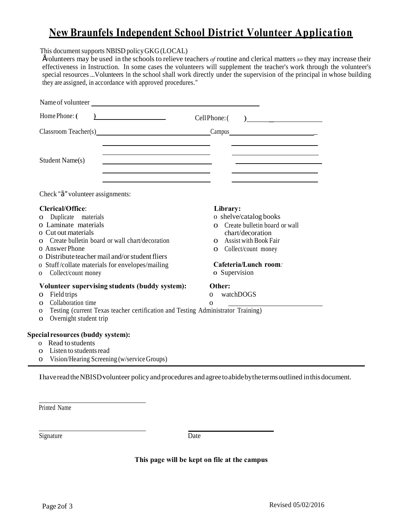# **New Braunfels Independent School District Volunteer Application**

#### This document supports NBISD policy GKG (LOCAL)

•volunteers may be used in the schools to relieve teachers *of* routine and clerical matters *so* they may increase their effectiveness in Instruction. In some cases the volunteers will supplement the teacher's work through the volunteer's special resources...Volunteers In the school shall work directly under the supervision of the principal in whose building they are assigned, in accordance with approved procedures."

| Name of volunteer Santa Communication of the Communication of the Communication of the Communication of the Communication of the Communication of the Communication of the Communication of the Communication of the Communica                                                                                                                                                                                                                                         |                                                                                                                                                                                                                                             |
|------------------------------------------------------------------------------------------------------------------------------------------------------------------------------------------------------------------------------------------------------------------------------------------------------------------------------------------------------------------------------------------------------------------------------------------------------------------------|---------------------------------------------------------------------------------------------------------------------------------------------------------------------------------------------------------------------------------------------|
| $\begin{array}{c c c c c} \hline \multicolumn{3}{c }{\textbf{1}} & \multicolumn{3}{c }{\textbf{2}} & \multicolumn{3}{c }{\textbf{3}} & \multicolumn{3}{c }{\textbf{4}} & \multicolumn{3}{c }{\textbf{5}} & \multicolumn{3}{c }{\textbf{6}} & \multicolumn{3}{c }{\textbf{7}} & \multicolumn{3}{c }{\textbf{8}} & \multicolumn{3}{c }{\textbf{9}} & \multicolumn{3}{c }{\textbf{1}} & \multicolumn{3}{c }{\textbf{1}} & \multicolumn{3}{c }{\textbf{1$<br>Home Phone: ( |                                                                                                                                                                                                                                             |
| Classroom Teacher(s) Campus Campus Campus                                                                                                                                                                                                                                                                                                                                                                                                                              |                                                                                                                                                                                                                                             |
| the control of the control of the control of the control of the control of<br><u> 1989 - Johann Barbara, martin amerikan basar dan berasal dalam basar dalam basar dalam basar dalam basar dala</u><br>Student Name(s)<br>and the contract of the contract of the contract of the contract of the contract of<br>the control of the control of the control of the control of the control of the control of                                                             | the control of the control of the control of the control of the control of<br>the contract of the contract of the contract of the contract of the contract of<br>the control of the control of the control of the control of the control of |
| Check "ç" volunteer assignments:                                                                                                                                                                                                                                                                                                                                                                                                                                       |                                                                                                                                                                                                                                             |
| <b>Clerical/Office:</b>                                                                                                                                                                                                                                                                                                                                                                                                                                                | Library:                                                                                                                                                                                                                                    |
| Duplicate materials<br>$\mathbf{O}$                                                                                                                                                                                                                                                                                                                                                                                                                                    | o shelve/catalog books                                                                                                                                                                                                                      |
| o Laminate materials                                                                                                                                                                                                                                                                                                                                                                                                                                                   | O Create bulletin board or wall                                                                                                                                                                                                             |
| o Cut out materials                                                                                                                                                                                                                                                                                                                                                                                                                                                    | chart/decoration                                                                                                                                                                                                                            |
| Create bulletin board or wall chart/decoration                                                                                                                                                                                                                                                                                                                                                                                                                         | O Assist with Book Fair                                                                                                                                                                                                                     |
| o AnswerPhone<br>o Distribute teacher mail and/or student fliers                                                                                                                                                                                                                                                                                                                                                                                                       | <b>O</b> Collect/count money                                                                                                                                                                                                                |
| o Stuff/collate materials for envelopes/mailing                                                                                                                                                                                                                                                                                                                                                                                                                        | Cafeteria/Lunch room.                                                                                                                                                                                                                       |
| Collect/count money<br>$\mathbf{O}$                                                                                                                                                                                                                                                                                                                                                                                                                                    | o Supervision                                                                                                                                                                                                                               |
| Volunteer supervising students (buddy system):                                                                                                                                                                                                                                                                                                                                                                                                                         | Other:                                                                                                                                                                                                                                      |
| Field trips<br>$\Omega$                                                                                                                                                                                                                                                                                                                                                                                                                                                | watchDOGS<br>$\Omega$                                                                                                                                                                                                                       |
| Collaboration time<br>$\Omega$                                                                                                                                                                                                                                                                                                                                                                                                                                         | $\Omega$                                                                                                                                                                                                                                    |
| Testing (current Texas teacher certification and Testing Administrator Training)<br>0                                                                                                                                                                                                                                                                                                                                                                                  |                                                                                                                                                                                                                                             |
| Overnight student trip<br>$\mathbf{O}$                                                                                                                                                                                                                                                                                                                                                                                                                                 |                                                                                                                                                                                                                                             |
| Special resources (buddy system):                                                                                                                                                                                                                                                                                                                                                                                                                                      |                                                                                                                                                                                                                                             |
| o Read to students                                                                                                                                                                                                                                                                                                                                                                                                                                                     |                                                                                                                                                                                                                                             |
| Listen to students read<br>$\Omega$                                                                                                                                                                                                                                                                                                                                                                                                                                    |                                                                                                                                                                                                                                             |
| Vision/Hearing Screening (w/service Groups)<br>$\Omega$                                                                                                                                                                                                                                                                                                                                                                                                                |                                                                                                                                                                                                                                             |

IhavereadtheNBISD·volunteer policyandprocedures andagreetoabidebythetermsoutlined inthisdocument.

Printed Name

Signature Date

**This page will be kept on file at the campus**